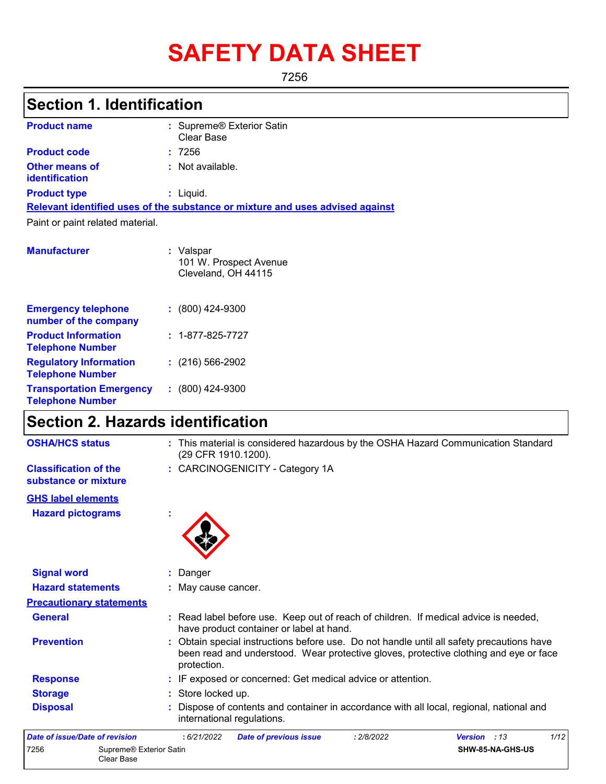# **SAFETY DATA SHEET**

7256

# **Section 1. Identification**

| <b>Product name</b>                            | : Supreme® Exterior Satin<br>Clear Base                                       |
|------------------------------------------------|-------------------------------------------------------------------------------|
| <b>Product code</b>                            | :7256                                                                         |
| <b>Other means of</b><br><b>identification</b> | : Not available.                                                              |
| <b>Product type</b>                            | : Liguid.                                                                     |
|                                                | Relevant identified uses of the substance or mixture and uses advised against |
| Paint or paint related material.               |                                                                               |
| <b>Manufacturer</b>                            | : Valspar<br>101 W. Prospect Avenue                                           |

|                                                            | Cleveland, OH 44115      |
|------------------------------------------------------------|--------------------------|
| <b>Emergency telephone</b><br>number of the company        | $: (800)$ 424-9300       |
| <b>Product Information</b><br><b>Telephone Number</b>      | $: 1 - 877 - 825 - 7727$ |
| <b>Regulatory Information</b><br><b>Telephone Number</b>   | $: (216) 566 - 2902$     |
| <b>Transportation Emergency</b><br><b>Telephone Number</b> | $: (800)$ 424-9300       |

### **Section 2. Hazards identification**

| <b>OSHA/HCS status</b>                               | : This material is considered hazardous by the OSHA Hazard Communication Standard<br>(29 CFR 1910.1200).                                                                                          |
|------------------------------------------------------|---------------------------------------------------------------------------------------------------------------------------------------------------------------------------------------------------|
| <b>Classification of the</b><br>substance or mixture | : CARCINOGENICITY - Category 1A                                                                                                                                                                   |
| <b>GHS label elements</b>                            |                                                                                                                                                                                                   |
| <b>Hazard pictograms</b>                             |                                                                                                                                                                                                   |
| <b>Signal word</b>                                   | Danger                                                                                                                                                                                            |
| <b>Hazard statements</b>                             | May cause cancer.                                                                                                                                                                                 |
| <b>Precautionary statements</b>                      |                                                                                                                                                                                                   |
| <b>General</b>                                       | : Read label before use. Keep out of reach of children. If medical advice is needed,<br>have product container or label at hand.                                                                  |
| <b>Prevention</b>                                    | : Obtain special instructions before use. Do not handle until all safety precautions have<br>been read and understood. Wear protective gloves, protective clothing and eye or face<br>protection. |
| <b>Response</b>                                      | : IF exposed or concerned: Get medical advice or attention.                                                                                                                                       |
| <b>Storage</b>                                       | : Store locked up.                                                                                                                                                                                |
| <b>Disposal</b>                                      | Dispose of contents and container in accordance with all local, regional, national and<br>international regulations.                                                                              |
| Date of issue/Date of revision                       | 1/12<br>: 6/21/2022<br>: 2/8/2022<br>Version : 13<br><b>Date of previous issue</b>                                                                                                                |
| 7256<br>Supreme® Exterior Satin<br>Clear Base        | SHW-85-NA-GHS-US                                                                                                                                                                                  |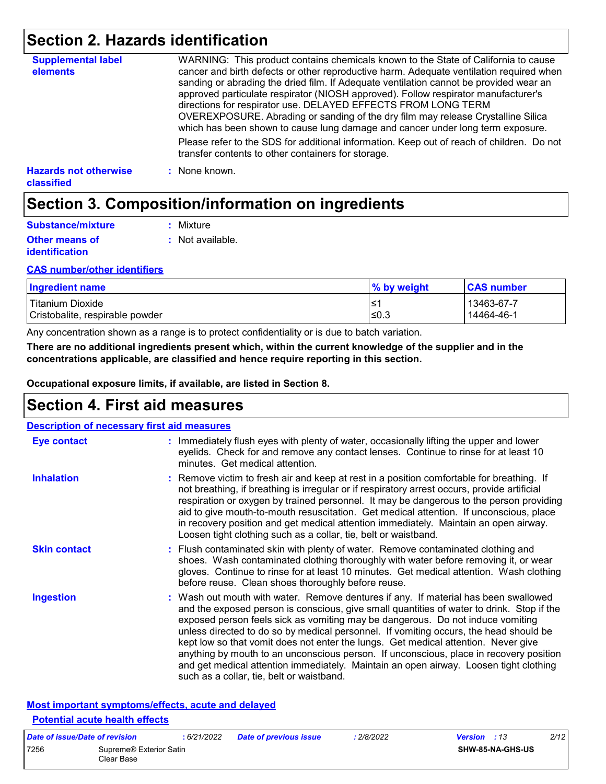### **Section 2. Hazards identification**

| <b>Supplemental label</b><br>elements             | WARNING: This product contains chemicals known to the State of California to cause<br>cancer and birth defects or other reproductive harm. Adequate ventilation required when<br>sanding or abrading the dried film. If Adequate ventilation cannot be provided wear an<br>approved particulate respirator (NIOSH approved). Follow respirator manufacturer's<br>directions for respirator use. DELAYED EFFECTS FROM LONG TERM<br>OVEREXPOSURE. Abrading or sanding of the dry film may release Crystalline Silica<br>which has been shown to cause lung damage and cancer under long term exposure. |
|---------------------------------------------------|------------------------------------------------------------------------------------------------------------------------------------------------------------------------------------------------------------------------------------------------------------------------------------------------------------------------------------------------------------------------------------------------------------------------------------------------------------------------------------------------------------------------------------------------------------------------------------------------------|
|                                                   | Please refer to the SDS for additional information. Keep out of reach of children. Do not<br>transfer contents to other containers for storage.                                                                                                                                                                                                                                                                                                                                                                                                                                                      |
| <b>Hazards not otherwise</b><br><b>classified</b> | : None known.                                                                                                                                                                                                                                                                                                                                                                                                                                                                                                                                                                                        |

### **Section 3. Composition/information on ingredients**

| Substance/mixture                              | : Mixture        |
|------------------------------------------------|------------------|
| <b>Other means of</b><br><i>identification</i> | : Not available. |

#### **CAS number/other identifiers**

| <b>Ingredient name</b>          | % by weight | <b>CAS number</b> |
|---------------------------------|-------------|-------------------|
| Titanium Dioxide                | '≥′         | 13463-67-7        |
| Cristobalite, respirable powder | ≤0.3        | 14464-46-1        |

Any concentration shown as a range is to protect confidentiality or is due to batch variation.

**There are no additional ingredients present which, within the current knowledge of the supplier and in the concentrations applicable, are classified and hence require reporting in this section.**

**Occupational exposure limits, if available, are listed in Section 8.**

### **Section 4. First aid measures**

| <b>Description of necessary first aid measures</b> |                                                                                                                                                                                                                                                                                                                                                                                                                                                                                                                                                                                                                                                                                   |
|----------------------------------------------------|-----------------------------------------------------------------------------------------------------------------------------------------------------------------------------------------------------------------------------------------------------------------------------------------------------------------------------------------------------------------------------------------------------------------------------------------------------------------------------------------------------------------------------------------------------------------------------------------------------------------------------------------------------------------------------------|
| Eye contact                                        | : Immediately flush eyes with plenty of water, occasionally lifting the upper and lower<br>eyelids. Check for and remove any contact lenses. Continue to rinse for at least 10<br>minutes. Get medical attention.                                                                                                                                                                                                                                                                                                                                                                                                                                                                 |
| <b>Inhalation</b>                                  | : Remove victim to fresh air and keep at rest in a position comfortable for breathing. If<br>not breathing, if breathing is irregular or if respiratory arrest occurs, provide artificial<br>respiration or oxygen by trained personnel. It may be dangerous to the person providing<br>aid to give mouth-to-mouth resuscitation. Get medical attention. If unconscious, place<br>in recovery position and get medical attention immediately. Maintain an open airway.<br>Loosen tight clothing such as a collar, tie, belt or waistband.                                                                                                                                         |
| <b>Skin contact</b>                                | : Flush contaminated skin with plenty of water. Remove contaminated clothing and<br>shoes. Wash contaminated clothing thoroughly with water before removing it, or wear<br>gloves. Continue to rinse for at least 10 minutes. Get medical attention. Wash clothing<br>before reuse. Clean shoes thoroughly before reuse.                                                                                                                                                                                                                                                                                                                                                          |
| <b>Ingestion</b>                                   | : Wash out mouth with water. Remove dentures if any. If material has been swallowed<br>and the exposed person is conscious, give small quantities of water to drink. Stop if the<br>exposed person feels sick as vomiting may be dangerous. Do not induce vomiting<br>unless directed to do so by medical personnel. If vomiting occurs, the head should be<br>kept low so that vomit does not enter the lungs. Get medical attention. Never give<br>anything by mouth to an unconscious person. If unconscious, place in recovery position<br>and get medical attention immediately. Maintain an open airway. Loosen tight clothing<br>such as a collar, tie, belt or waistband. |

#### **Most important symptoms/effects, acute and delayed Potential acute health effects**

| Date of issue/Date of revision |                                       | : 6/21/2022 | <b>Date of previous issue</b> | .2/8/2022 | <b>Version</b> : 13 |                  | 2/12 |
|--------------------------------|---------------------------------------|-------------|-------------------------------|-----------|---------------------|------------------|------|
| 7256                           | Supreme® Exterior Satin<br>Clear Base |             |                               |           |                     | SHW-85-NA-GHS-US |      |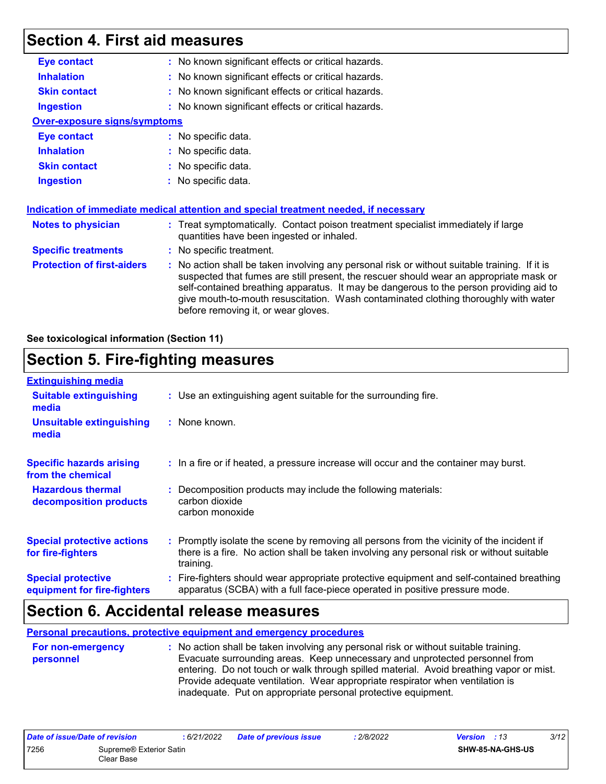### **Section 4. First aid measures**

| <b>Eye contact</b>                  | : No known significant effects or critical hazards.                                                                                                                                                                                                                                                                                                                                                             |
|-------------------------------------|-----------------------------------------------------------------------------------------------------------------------------------------------------------------------------------------------------------------------------------------------------------------------------------------------------------------------------------------------------------------------------------------------------------------|
| <b>Inhalation</b>                   | : No known significant effects or critical hazards.                                                                                                                                                                                                                                                                                                                                                             |
| <b>Skin contact</b>                 | : No known significant effects or critical hazards.                                                                                                                                                                                                                                                                                                                                                             |
| <b>Ingestion</b>                    | : No known significant effects or critical hazards.                                                                                                                                                                                                                                                                                                                                                             |
| <b>Over-exposure signs/symptoms</b> |                                                                                                                                                                                                                                                                                                                                                                                                                 |
| <b>Eye contact</b>                  | : No specific data.                                                                                                                                                                                                                                                                                                                                                                                             |
| <b>Inhalation</b>                   | : No specific data.                                                                                                                                                                                                                                                                                                                                                                                             |
| <b>Skin contact</b>                 | : No specific data.                                                                                                                                                                                                                                                                                                                                                                                             |
| <b>Ingestion</b>                    | : No specific data.                                                                                                                                                                                                                                                                                                                                                                                             |
|                                     |                                                                                                                                                                                                                                                                                                                                                                                                                 |
|                                     | Indication of immediate medical attention and special treatment needed, if necessary                                                                                                                                                                                                                                                                                                                            |
| Notes to physician                  | : Treat symptomatically. Contact poison treatment specialist immediately if large<br>quantities have been ingested or inhaled.                                                                                                                                                                                                                                                                                  |
| <b>Specific treatments</b>          | : No specific treatment.                                                                                                                                                                                                                                                                                                                                                                                        |
| <b>Protection of first-aiders</b>   | : No action shall be taken involving any personal risk or without suitable training. If it is<br>suspected that fumes are still present, the rescuer should wear an appropriate mask or<br>self-contained breathing apparatus. It may be dangerous to the person providing aid to<br>give mouth-to-mouth resuscitation. Wash contaminated clothing thoroughly with water<br>before removing it, or wear gloves. |

#### **See toxicological information (Section 11)**

### **Section 5. Fire-fighting measures**

| <b>Extinguishing media</b>                               |                                                                                                                                                                                                     |  |
|----------------------------------------------------------|-----------------------------------------------------------------------------------------------------------------------------------------------------------------------------------------------------|--|
| <b>Suitable extinguishing</b><br>media                   | : Use an extinguishing agent suitable for the surrounding fire.                                                                                                                                     |  |
| <b>Unsuitable extinguishing</b><br>media                 | : None known.                                                                                                                                                                                       |  |
| <b>Specific hazards arising</b><br>from the chemical     | : In a fire or if heated, a pressure increase will occur and the container may burst.                                                                                                               |  |
| <b>Hazardous thermal</b><br>decomposition products       | Decomposition products may include the following materials:<br>carbon dioxide<br>carbon monoxide                                                                                                    |  |
| <b>Special protective actions</b><br>for fire-fighters   | : Promptly isolate the scene by removing all persons from the vicinity of the incident if<br>there is a fire. No action shall be taken involving any personal risk or without suitable<br>training. |  |
| <b>Special protective</b><br>equipment for fire-fighters | : Fire-fighters should wear appropriate protective equipment and self-contained breathing<br>apparatus (SCBA) with a full face-piece operated in positive pressure mode.                            |  |

### **Section 6. Accidental release measures**

**Personal precautions, protective equipment and emergency procedures**

**:** No action shall be taken involving any personal risk or without suitable training. Evacuate surrounding areas. Keep unnecessary and unprotected personnel from entering. Do not touch or walk through spilled material. Avoid breathing vapor or mist. Provide adequate ventilation. Wear appropriate respirator when ventilation is inadequate. Put on appropriate personal protective equipment. **For non-emergency personnel**

| Date of issue/Date of revision |                                       | : 6/21/2022 | <b>Date of previous issue</b> | : 2/8/2022 | <b>Version</b> : 13 |                         | 3/12 |
|--------------------------------|---------------------------------------|-------------|-------------------------------|------------|---------------------|-------------------------|------|
| 7256                           | Supreme® Exterior Satin<br>Clear Base |             |                               |            |                     | <b>SHW-85-NA-GHS-US</b> |      |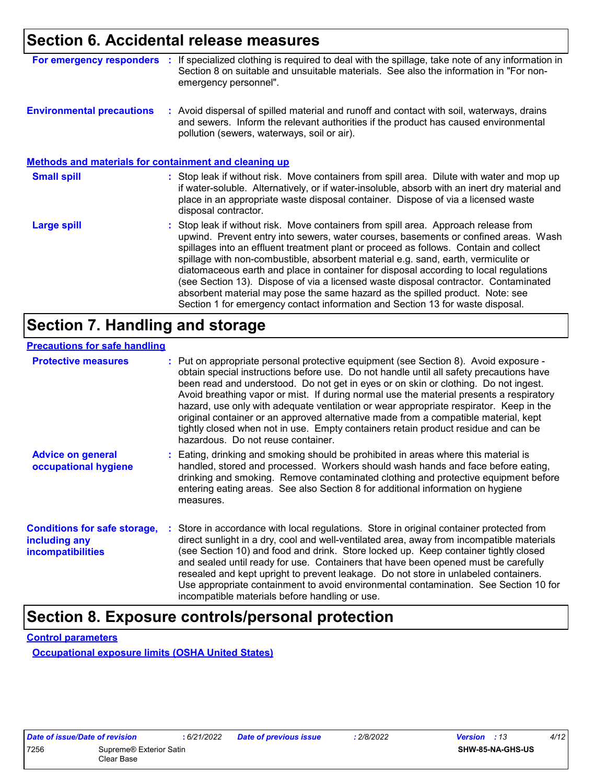### **Section 6. Accidental release measures**

| For emergency responders :                                   | If specialized clothing is required to deal with the spillage, take note of any information in<br>Section 8 on suitable and unsuitable materials. See also the information in "For non-<br>emergency personnel".                                                                                                                                                                                                                                                                                                                                                                                                                                                                                             |
|--------------------------------------------------------------|--------------------------------------------------------------------------------------------------------------------------------------------------------------------------------------------------------------------------------------------------------------------------------------------------------------------------------------------------------------------------------------------------------------------------------------------------------------------------------------------------------------------------------------------------------------------------------------------------------------------------------------------------------------------------------------------------------------|
| <b>Environmental precautions</b>                             | : Avoid dispersal of spilled material and runoff and contact with soil, waterways, drains<br>and sewers. Inform the relevant authorities if the product has caused environmental<br>pollution (sewers, waterways, soil or air).                                                                                                                                                                                                                                                                                                                                                                                                                                                                              |
| <b>Methods and materials for containment and cleaning up</b> |                                                                                                                                                                                                                                                                                                                                                                                                                                                                                                                                                                                                                                                                                                              |
| <b>Small spill</b>                                           | : Stop leak if without risk. Move containers from spill area. Dilute with water and mop up<br>if water-soluble. Alternatively, or if water-insoluble, absorb with an inert dry material and<br>place in an appropriate waste disposal container. Dispose of via a licensed waste<br>disposal contractor.                                                                                                                                                                                                                                                                                                                                                                                                     |
| <b>Large spill</b>                                           | : Stop leak if without risk. Move containers from spill area. Approach release from<br>upwind. Prevent entry into sewers, water courses, basements or confined areas. Wash<br>spillages into an effluent treatment plant or proceed as follows. Contain and collect<br>spillage with non-combustible, absorbent material e.g. sand, earth, vermiculite or<br>diatomaceous earth and place in container for disposal according to local regulations<br>(see Section 13). Dispose of via a licensed waste disposal contractor. Contaminated<br>absorbent material may pose the same hazard as the spilled product. Note: see<br>Section 1 for emergency contact information and Section 13 for waste disposal. |

## **Section 7. Handling and storage**

#### **Precautions for safe handling**

| <b>Protective measures</b>                                                       | : Put on appropriate personal protective equipment (see Section 8). Avoid exposure -<br>obtain special instructions before use. Do not handle until all safety precautions have<br>been read and understood. Do not get in eyes or on skin or clothing. Do not ingest.<br>Avoid breathing vapor or mist. If during normal use the material presents a respiratory<br>hazard, use only with adequate ventilation or wear appropriate respirator. Keep in the<br>original container or an approved alternative made from a compatible material, kept<br>tightly closed when not in use. Empty containers retain product residue and can be<br>hazardous. Do not reuse container. |
|----------------------------------------------------------------------------------|--------------------------------------------------------------------------------------------------------------------------------------------------------------------------------------------------------------------------------------------------------------------------------------------------------------------------------------------------------------------------------------------------------------------------------------------------------------------------------------------------------------------------------------------------------------------------------------------------------------------------------------------------------------------------------|
| <b>Advice on general</b><br>occupational hygiene                                 | : Eating, drinking and smoking should be prohibited in areas where this material is<br>handled, stored and processed. Workers should wash hands and face before eating,<br>drinking and smoking. Remove contaminated clothing and protective equipment before<br>entering eating areas. See also Section 8 for additional information on hygiene<br>measures.                                                                                                                                                                                                                                                                                                                  |
| <b>Conditions for safe storage,</b><br>including any<br><b>incompatibilities</b> | : Store in accordance with local regulations. Store in original container protected from<br>direct sunlight in a dry, cool and well-ventilated area, away from incompatible materials<br>(see Section 10) and food and drink. Store locked up. Keep container tightly closed<br>and sealed until ready for use. Containers that have been opened must be carefully<br>resealed and kept upright to prevent leakage. Do not store in unlabeled containers.<br>Use appropriate containment to avoid environmental contamination. See Section 10 for<br>incompatible materials before handling or use.                                                                            |

### **Section 8. Exposure controls/personal protection**

**Control parameters**

**Occupational exposure limits (OSHA United States)**

| Date of issue/Date of revision |                                     |
|--------------------------------|-------------------------------------|
| 7256                           | Supreme <sup>®</sup> Exterior Satin |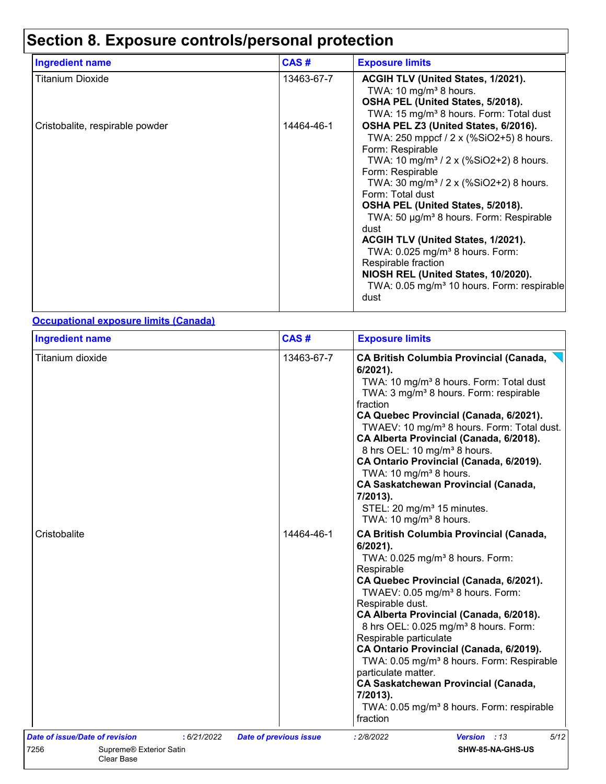# **Section 8. Exposure controls/personal protection**

| <b>Ingredient name</b>          | CAS#       | <b>Exposure limits</b>                                                                                                                                                                                                                                                                                                                                                                                                                                                                                                                                                           |
|---------------------------------|------------|----------------------------------------------------------------------------------------------------------------------------------------------------------------------------------------------------------------------------------------------------------------------------------------------------------------------------------------------------------------------------------------------------------------------------------------------------------------------------------------------------------------------------------------------------------------------------------|
| <b>Titanium Dioxide</b>         | 13463-67-7 | ACGIH TLV (United States, 1/2021).<br>TWA: 10 mg/m <sup>3</sup> 8 hours.<br>OSHA PEL (United States, 5/2018).<br>TWA: 15 mg/m <sup>3</sup> 8 hours. Form: Total dust                                                                                                                                                                                                                                                                                                                                                                                                             |
| Cristobalite, respirable powder | 14464-46-1 | OSHA PEL Z3 (United States, 6/2016).<br>TWA: 250 mppcf / 2 x (%SiO2+5) 8 hours.<br>Form: Respirable<br>TWA: 10 mg/m <sup>3</sup> / 2 x (%SiO2+2) 8 hours.<br>Form: Respirable<br>TWA: 30 mg/m <sup>3</sup> / 2 x (%SiO2+2) 8 hours.<br>Form: Total dust<br>OSHA PEL (United States, 5/2018).<br>TWA: 50 µg/m <sup>3</sup> 8 hours. Form: Respirable<br>dust<br>ACGIH TLV (United States, 1/2021).<br>TWA: 0.025 mg/m <sup>3</sup> 8 hours. Form:<br>Respirable fraction<br>NIOSH REL (United States, 10/2020).<br>TWA: 0.05 mg/m <sup>3</sup> 10 hours. Form: respirable<br>dust |

#### **Occupational exposure limits (Canada)**

| <b>Ingredient name</b>                        |             | CAS#                          | <b>Exposure limits</b>                                                                                                                                                                                                                                                                                                                                                                                                                                                                                                                                                                                                       |
|-----------------------------------------------|-------------|-------------------------------|------------------------------------------------------------------------------------------------------------------------------------------------------------------------------------------------------------------------------------------------------------------------------------------------------------------------------------------------------------------------------------------------------------------------------------------------------------------------------------------------------------------------------------------------------------------------------------------------------------------------------|
| Titanium dioxide                              |             | 13463-67-7                    | <b>CA British Columbia Provincial (Canada,</b><br>6/2021).<br>TWA: 10 mg/m <sup>3</sup> 8 hours. Form: Total dust<br>TWA: 3 mg/m <sup>3</sup> 8 hours. Form: respirable<br>fraction<br>CA Quebec Provincial (Canada, 6/2021).<br>TWAEV: 10 mg/m <sup>3</sup> 8 hours. Form: Total dust.<br>CA Alberta Provincial (Canada, 6/2018).<br>8 hrs OEL: 10 mg/m <sup>3</sup> 8 hours.<br>CA Ontario Provincial (Canada, 6/2019).<br>TWA: 10 mg/m <sup>3</sup> 8 hours.<br><b>CA Saskatchewan Provincial (Canada,</b><br>7/2013).<br>STEL: 20 mg/m <sup>3</sup> 15 minutes.<br>TWA: 10 mg/m <sup>3</sup> 8 hours.                    |
| Cristobalite                                  |             | 14464-46-1                    | <b>CA British Columbia Provincial (Canada,</b><br>$6/2021$ ).<br>TWA: 0.025 mg/m <sup>3</sup> 8 hours. Form:<br>Respirable<br>CA Quebec Provincial (Canada, 6/2021).<br>TWAEV: 0.05 mg/m <sup>3</sup> 8 hours. Form:<br>Respirable dust.<br>CA Alberta Provincial (Canada, 6/2018).<br>8 hrs OEL: 0.025 mg/m <sup>3</sup> 8 hours. Form:<br>Respirable particulate<br>CA Ontario Provincial (Canada, 6/2019).<br>TWA: 0.05 mg/m <sup>3</sup> 8 hours. Form: Respirable<br>particulate matter.<br><b>CA Saskatchewan Provincial (Canada,</b><br>7/2013).<br>TWA: 0.05 mg/m <sup>3</sup> 8 hours. Form: respirable<br>fraction |
| Date of issue/Date of revision                | : 6/21/2022 | <b>Date of previous issue</b> | 5/12<br>Version : 13<br>: 2/8/2022                                                                                                                                                                                                                                                                                                                                                                                                                                                                                                                                                                                           |
| 7256<br>Supreme® Exterior Satin<br>Clear Base |             |                               | SHW-85-NA-GHS-US                                                                                                                                                                                                                                                                                                                                                                                                                                                                                                                                                                                                             |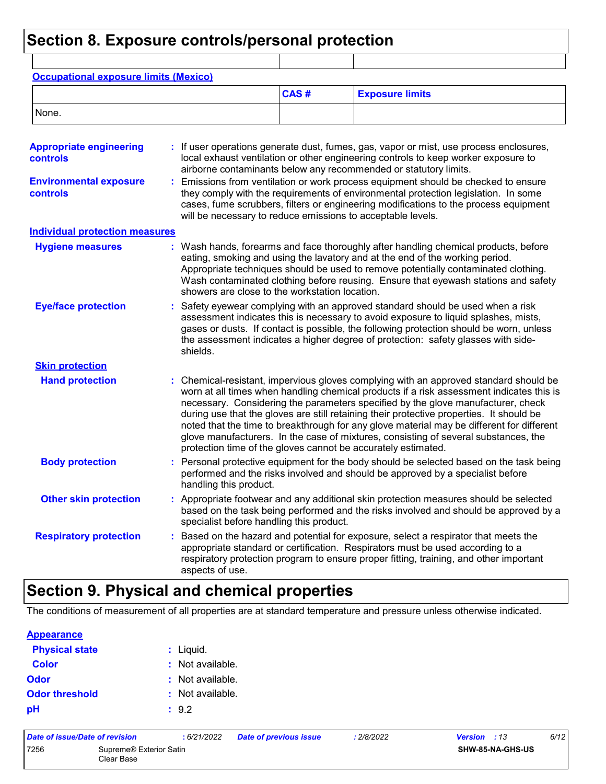### **Section 8. Exposure controls/personal protection**

| <b>Occupational exposure limits (Mexico)</b>      |                                                                                                                                                                                                                                                                                                                                                                                                                                                                                                                                                                                                                      |                                                                                                                                                                                                                                                                                                                               |                                                                                                                                                                                                                                                                                                                                                 |  |  |  |  |
|---------------------------------------------------|----------------------------------------------------------------------------------------------------------------------------------------------------------------------------------------------------------------------------------------------------------------------------------------------------------------------------------------------------------------------------------------------------------------------------------------------------------------------------------------------------------------------------------------------------------------------------------------------------------------------|-------------------------------------------------------------------------------------------------------------------------------------------------------------------------------------------------------------------------------------------------------------------------------------------------------------------------------|-------------------------------------------------------------------------------------------------------------------------------------------------------------------------------------------------------------------------------------------------------------------------------------------------------------------------------------------------|--|--|--|--|
|                                                   |                                                                                                                                                                                                                                                                                                                                                                                                                                                                                                                                                                                                                      | CAS#                                                                                                                                                                                                                                                                                                                          | <b>Exposure limits</b>                                                                                                                                                                                                                                                                                                                          |  |  |  |  |
| None.                                             |                                                                                                                                                                                                                                                                                                                                                                                                                                                                                                                                                                                                                      |                                                                                                                                                                                                                                                                                                                               |                                                                                                                                                                                                                                                                                                                                                 |  |  |  |  |
| <b>Appropriate engineering</b><br><b>controls</b> |                                                                                                                                                                                                                                                                                                                                                                                                                                                                                                                                                                                                                      |                                                                                                                                                                                                                                                                                                                               | : If user operations generate dust, fumes, gas, vapor or mist, use process enclosures,<br>local exhaust ventilation or other engineering controls to keep worker exposure to<br>airborne contaminants below any recommended or statutory limits.                                                                                                |  |  |  |  |
| <b>Environmental exposure</b><br>controls         |                                                                                                                                                                                                                                                                                                                                                                                                                                                                                                                                                                                                                      | Emissions from ventilation or work process equipment should be checked to ensure<br>they comply with the requirements of environmental protection legislation. In some<br>cases, fume scrubbers, filters or engineering modifications to the process equipment<br>will be necessary to reduce emissions to acceptable levels. |                                                                                                                                                                                                                                                                                                                                                 |  |  |  |  |
| <b>Individual protection measures</b>             |                                                                                                                                                                                                                                                                                                                                                                                                                                                                                                                                                                                                                      |                                                                                                                                                                                                                                                                                                                               |                                                                                                                                                                                                                                                                                                                                                 |  |  |  |  |
| <b>Hygiene measures</b>                           | showers are close to the workstation location.                                                                                                                                                                                                                                                                                                                                                                                                                                                                                                                                                                       |                                                                                                                                                                                                                                                                                                                               | : Wash hands, forearms and face thoroughly after handling chemical products, before<br>eating, smoking and using the lavatory and at the end of the working period.<br>Appropriate techniques should be used to remove potentially contaminated clothing.<br>Wash contaminated clothing before reusing. Ensure that eyewash stations and safety |  |  |  |  |
| <b>Eye/face protection</b>                        | Safety eyewear complying with an approved standard should be used when a risk<br>assessment indicates this is necessary to avoid exposure to liquid splashes, mists,<br>gases or dusts. If contact is possible, the following protection should be worn, unless<br>the assessment indicates a higher degree of protection: safety glasses with side-<br>shields.                                                                                                                                                                                                                                                     |                                                                                                                                                                                                                                                                                                                               |                                                                                                                                                                                                                                                                                                                                                 |  |  |  |  |
| <b>Skin protection</b>                            |                                                                                                                                                                                                                                                                                                                                                                                                                                                                                                                                                                                                                      |                                                                                                                                                                                                                                                                                                                               |                                                                                                                                                                                                                                                                                                                                                 |  |  |  |  |
| <b>Hand protection</b>                            | Chemical-resistant, impervious gloves complying with an approved standard should be<br>worn at all times when handling chemical products if a risk assessment indicates this is<br>necessary. Considering the parameters specified by the glove manufacturer, check<br>during use that the gloves are still retaining their protective properties. It should be<br>noted that the time to breakthrough for any glove material may be different for different<br>glove manufacturers. In the case of mixtures, consisting of several substances, the<br>protection time of the gloves cannot be accurately estimated. |                                                                                                                                                                                                                                                                                                                               |                                                                                                                                                                                                                                                                                                                                                 |  |  |  |  |
| <b>Body protection</b>                            | : Personal protective equipment for the body should be selected based on the task being<br>performed and the risks involved and should be approved by a specialist before<br>handling this product.                                                                                                                                                                                                                                                                                                                                                                                                                  |                                                                                                                                                                                                                                                                                                                               |                                                                                                                                                                                                                                                                                                                                                 |  |  |  |  |
| <b>Other skin protection</b>                      | Appropriate footwear and any additional skin protection measures should be selected<br>based on the task being performed and the risks involved and should be approved by a<br>specialist before handling this product.                                                                                                                                                                                                                                                                                                                                                                                              |                                                                                                                                                                                                                                                                                                                               |                                                                                                                                                                                                                                                                                                                                                 |  |  |  |  |
| <b>Respiratory protection</b>                     | Based on the hazard and potential for exposure, select a respirator that meets the<br>appropriate standard or certification. Respirators must be used according to a<br>respiratory protection program to ensure proper fitting, training, and other important<br>aspects of use.                                                                                                                                                                                                                                                                                                                                    |                                                                                                                                                                                                                                                                                                                               |                                                                                                                                                                                                                                                                                                                                                 |  |  |  |  |

# **Section 9. Physical and chemical properties**

The conditions of measurement of all properties are at standard temperature and pressure unless otherwise indicated.

#### **Appearance**

| <b>Physical state</b> | $:$ Liquid.      |
|-----------------------|------------------|
| <b>Color</b>          | : Not available. |
| Odor                  | : Not available. |
| <b>Odor threshold</b> | : Not available. |
| рH                    | : 9.2            |

| Date of issue/Date of revision |                                       | : 6/21/2022 | <b>Date of previous issue</b> | : 2/8/2022 | <b>Version</b> : 13 |                         | 6/12 |
|--------------------------------|---------------------------------------|-------------|-------------------------------|------------|---------------------|-------------------------|------|
| 7256                           | Supreme® Exterior Satin<br>Clear Base |             |                               |            |                     | <b>SHW-85-NA-GHS-US</b> |      |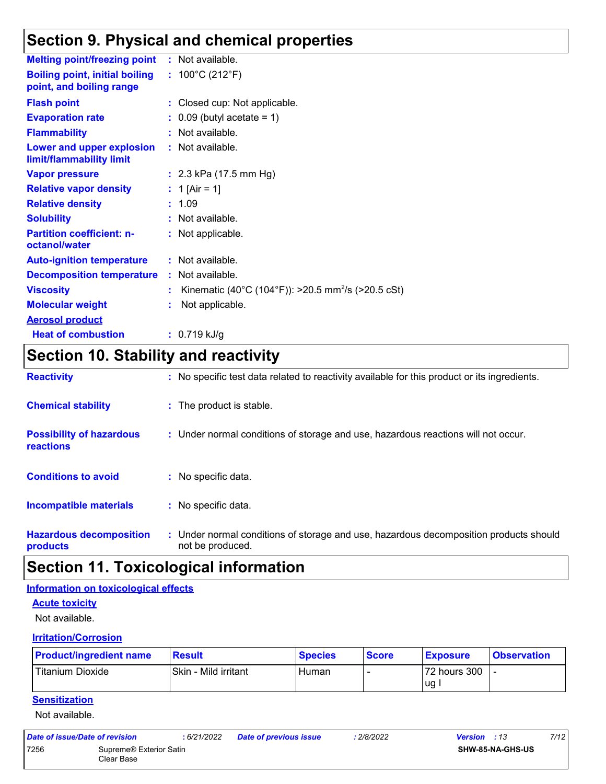### **Section 9. Physical and chemical properties**

| <b>Melting point/freezing point</b>                               | : Not available.                                               |
|-------------------------------------------------------------------|----------------------------------------------------------------|
| <b>Boiling point, initial boiling</b><br>point, and boiling range | : $100^{\circ}$ C (212 $^{\circ}$ F)                           |
| <b>Flash point</b>                                                | : Closed cup: Not applicable.                                  |
| <b>Evaporation rate</b>                                           | $\therefore$ 0.09 (butyl acetate = 1)                          |
| <b>Flammability</b>                                               | : Not available.                                               |
| Lower and upper explosion<br>limit/flammability limit             | : Not available.                                               |
| <b>Vapor pressure</b>                                             | : $2.3$ kPa (17.5 mm Hg)                                       |
| <b>Relative vapor density</b>                                     | : 1 [Air = 1]                                                  |
| <b>Relative density</b>                                           | : 1.09                                                         |
| <b>Solubility</b>                                                 | : Not available.                                               |
| <b>Partition coefficient: n-</b><br>octanol/water                 | : Not applicable.                                              |
| <b>Auto-ignition temperature</b>                                  | : Not available.                                               |
| <b>Decomposition temperature</b>                                  | : Not available.                                               |
| <b>Viscosity</b>                                                  | Kinematic (40°C (104°F)): >20.5 mm <sup>2</sup> /s (>20.5 cSt) |
| <b>Molecular weight</b>                                           | Not applicable.                                                |
| <b>Aerosol product</b>                                            |                                                                |
| <b>Heat of combustion</b>                                         | $: 0.719$ kJ/g                                                 |

# **Section 10. Stability and reactivity**

| <b>Reactivity</b>                            | : No specific test data related to reactivity available for this product or its ingredients.              |
|----------------------------------------------|-----------------------------------------------------------------------------------------------------------|
| <b>Chemical stability</b>                    | : The product is stable.                                                                                  |
| <b>Possibility of hazardous</b><br>reactions | : Under normal conditions of storage and use, hazardous reactions will not occur.                         |
| <b>Conditions to avoid</b>                   | : No specific data.                                                                                       |
| <b>Incompatible materials</b>                | : No specific data.                                                                                       |
| <b>Hazardous decomposition</b><br>products   | : Under normal conditions of storage and use, hazardous decomposition products should<br>not be produced. |

### **Section 11. Toxicological information**

#### **Information on toxicological effects**

#### **Acute toxicity**

Not available.

#### **Irritation/Corrosion**

| <b>Product/ingredient name</b> | Result               | <b>Species</b> | <b>Score</b> | <b>Exposure</b> | <b>Observation</b> |
|--------------------------------|----------------------|----------------|--------------|-----------------|--------------------|
| <b>Titanium Dioxide</b>        | Skin - Mild irritant | Human          |              | 72 hours 300    |                    |
|                                |                      |                |              | <b>ug</b>       |                    |

#### **Sensitization**

Not available.

| Date of issue/Date of revision |                                       | : 6/21/2022 | <b>Date of previous issue</b> | : 2/8/2022 | <b>Version</b> : 13 |                         | 7/12 |
|--------------------------------|---------------------------------------|-------------|-------------------------------|------------|---------------------|-------------------------|------|
| 7256                           | Supreme® Exterior Satin<br>Clear Base |             |                               |            |                     | <b>SHW-85-NA-GHS-US</b> |      |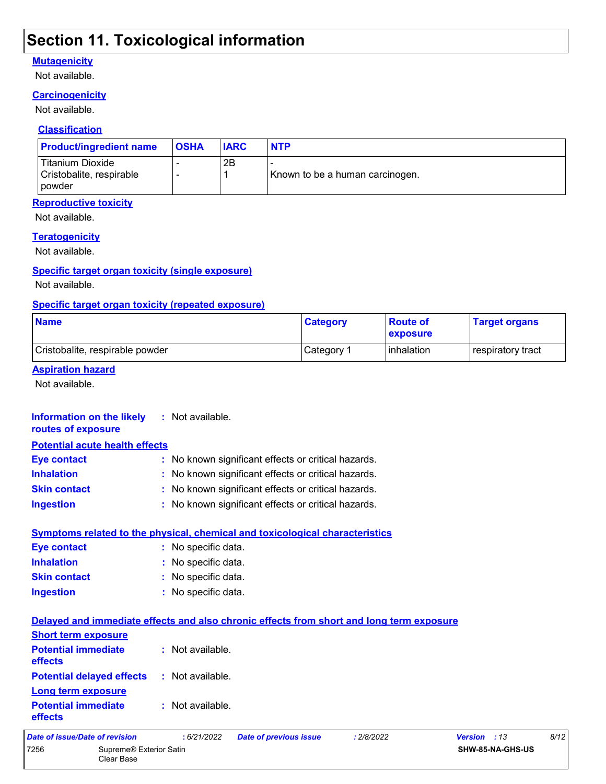### **Section 11. Toxicological information**

#### **Mutagenicity**

Not available.

#### **Carcinogenicity**

Not available.

#### **Classification**

| <b>Product/ingredient name</b>                                  | <b>OSHA</b> | <b>IARC</b> | <b>NTP</b>                      |
|-----------------------------------------------------------------|-------------|-------------|---------------------------------|
| Titanium Dioxide<br>Cristobalite, respirable<br><b>I</b> powder |             | 2B          | Known to be a human carcinogen. |

#### **Reproductive toxicity**

Not available.

#### **Teratogenicity**

Not available.

#### **Specific target organ toxicity (single exposure)**

Not available.

#### **Specific target organ toxicity (repeated exposure)**

| <b>Name</b>                     | <b>Category</b> | <b>Route of</b><br><b>exposure</b> | <b>Target organs</b> |
|---------------------------------|-----------------|------------------------------------|----------------------|
| Cristobalite, respirable powder | ∣Category ⊺     | l inhalation                       | respiratory tract    |

#### **Aspiration hazard**

Not available.

#### **Information on the likely routes of exposure Inhalation :** No known significant effects or critical hazards. **Ingestion :** No known significant effects or critical hazards. **Skin contact :** No known significant effects or critical hazards. **Eye contact :** No known significant effects or critical hazards. **:** Not available. **Potential acute health effects**

| <b>Symptoms related to the physical, chemical and toxicological characteristics</b> |                     |  |  |  |  |  |  |
|-------------------------------------------------------------------------------------|---------------------|--|--|--|--|--|--|
| <b>Eve contact</b>                                                                  | : No specific data. |  |  |  |  |  |  |
| <b>Inhalation</b>                                                                   | : No specific data. |  |  |  |  |  |  |
| <b>Skin contact</b>                                                                 | : No specific data. |  |  |  |  |  |  |
| Ingestion                                                                           | : No specific data. |  |  |  |  |  |  |

| Delayed and immediate effects and also chronic effects from short and long term exposure |                             |                               |            |              |      |
|------------------------------------------------------------------------------------------|-----------------------------|-------------------------------|------------|--------------|------|
| <b>Short term exposure</b>                                                               |                             |                               |            |              |      |
| <b>Potential immediate</b><br>effects                                                    | : Not available.            |                               |            |              |      |
| <b>Potential delayed effects</b><br><b>Long term exposure</b>                            | : Not available.            |                               |            |              |      |
| <b>Potential immediate</b><br><b>effects</b>                                             | $\therefore$ Not available. |                               |            |              |      |
| Date of issue/Date of revision                                                           | :6/21/2022                  | <b>Date of previous issue</b> | : 2/8/2022 | Version : 13 | 8/12 |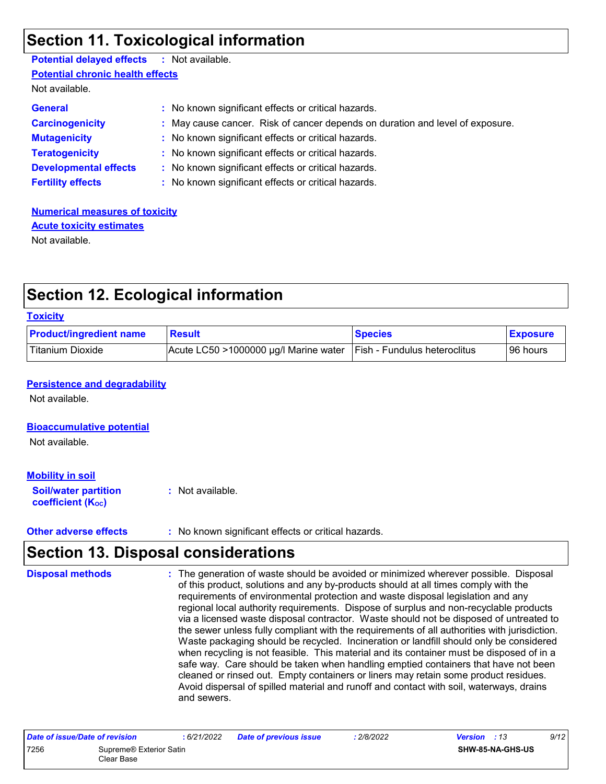### **Section 11. Toxicological information**

| <b>Potential delayed effects : Not available.</b> |                                                                               |
|---------------------------------------------------|-------------------------------------------------------------------------------|
| <b>Potential chronic health effects</b>           |                                                                               |
| Not available.                                    |                                                                               |
| <b>General</b>                                    | : No known significant effects or critical hazards.                           |
| <b>Carcinogenicity</b>                            | : May cause cancer. Risk of cancer depends on duration and level of exposure. |
| <b>Mutagenicity</b>                               | : No known significant effects or critical hazards.                           |
| <b>Teratogenicity</b>                             | : No known significant effects or critical hazards.                           |
| <b>Developmental effects</b>                      | : No known significant effects or critical hazards.                           |
| <b>Fertility effects</b>                          | : No known significant effects or critical hazards.                           |

**Numerical measures of toxicity** Not available. **Acute toxicity estimates**

### **Section 12. Ecological information**

#### **Toxicity**

| <b>Product/ingredient name</b> | <b>Result</b>                         | <b>Species</b>                      | <b>Exposure</b> |
|--------------------------------|---------------------------------------|-------------------------------------|-----------------|
| <b>Titanium Dioxide</b>        | Acute LC50 >1000000 µg/l Marine water | <b>Fish - Fundulus heteroclitus</b> | 96 hours        |

#### **Persistence and degradability**

Not available.

#### **Bioaccumulative potential**

Not available.

#### **Mobility in soil**

**Soil/water partition coefficient (KOC) :** Not available.

#### **Other adverse effects :** No known significant effects or critical hazards.

### **Section 13. Disposal considerations**

The generation of waste should be avoided or minimized wherever possible. Disposal of this product, solutions and any by-products should at all times comply with the requirements of environmental protection and waste disposal legislation and any regional local authority requirements. Dispose of surplus and non-recyclable products via a licensed waste disposal contractor. Waste should not be disposed of untreated to the sewer unless fully compliant with the requirements of all authorities with jurisdiction. Waste packaging should be recycled. Incineration or landfill should only be considered when recycling is not feasible. This material and its container must be disposed of in a safe way. Care should be taken when handling emptied containers that have not been cleaned or rinsed out. Empty containers or liners may retain some product residues. Avoid dispersal of spilled material and runoff and contact with soil, waterways, drains and sewers. **Disposal methods :**

| Date of issue/Date of revision |                                       | 6/21/2022 | <b>Date of previous issue</b> | 2/8/2022 | <b>Version</b> : 13     | 9/12 |
|--------------------------------|---------------------------------------|-----------|-------------------------------|----------|-------------------------|------|
| 7256                           | Supreme® Exterior Satin<br>Clear Base |           |                               |          | <b>SHW-85-NA-GHS-US</b> |      |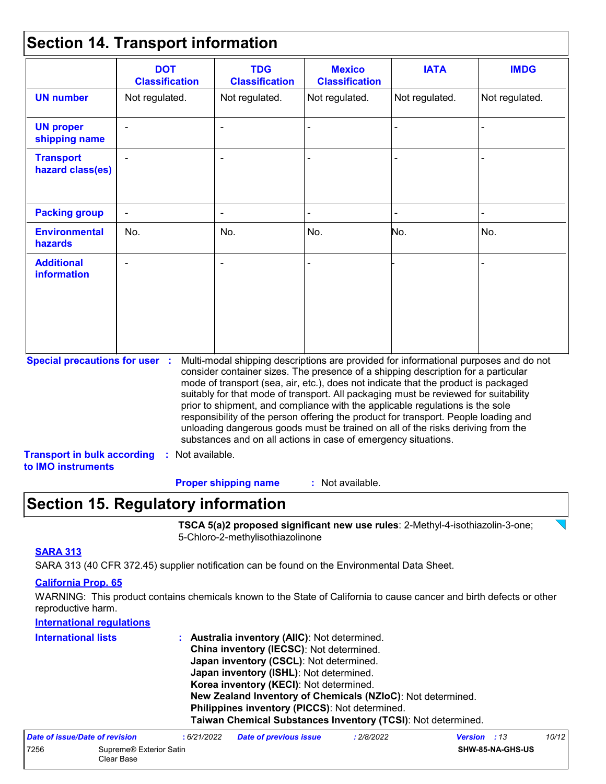### **Section 14. Transport information**

|                                                                                                   | <b>DOT</b><br><b>Classification</b> | <b>TDG</b><br><b>Classification</b>                            | <b>Mexico</b><br><b>Classification</b> | <b>IATA</b>                                                                                                                                                                                                                                                                                                                                                                                                                                                                                                                                                                                                       | <b>IMDG</b>    |
|---------------------------------------------------------------------------------------------------|-------------------------------------|----------------------------------------------------------------|----------------------------------------|-------------------------------------------------------------------------------------------------------------------------------------------------------------------------------------------------------------------------------------------------------------------------------------------------------------------------------------------------------------------------------------------------------------------------------------------------------------------------------------------------------------------------------------------------------------------------------------------------------------------|----------------|
| <b>UN number</b>                                                                                  | Not regulated.                      | Not regulated.                                                 | Not regulated.                         | Not regulated.                                                                                                                                                                                                                                                                                                                                                                                                                                                                                                                                                                                                    | Not regulated. |
| <b>UN proper</b><br>shipping name                                                                 |                                     |                                                                |                                        |                                                                                                                                                                                                                                                                                                                                                                                                                                                                                                                                                                                                                   |                |
| <b>Transport</b><br>hazard class(es)                                                              |                                     |                                                                |                                        |                                                                                                                                                                                                                                                                                                                                                                                                                                                                                                                                                                                                                   |                |
| <b>Packing group</b>                                                                              |                                     |                                                                |                                        |                                                                                                                                                                                                                                                                                                                                                                                                                                                                                                                                                                                                                   |                |
| <b>Environmental</b><br>hazards                                                                   | No.                                 | No.                                                            | No.                                    | No.                                                                                                                                                                                                                                                                                                                                                                                                                                                                                                                                                                                                               | No.            |
| <b>Additional</b><br><b>information</b>                                                           |                                     |                                                                |                                        |                                                                                                                                                                                                                                                                                                                                                                                                                                                                                                                                                                                                                   |                |
| <b>Special precautions for user :</b><br><b>Transport in bulk according</b><br>to IMO instruments | : Not available.                    | substances and on all actions in case of emergency situations. |                                        | Multi-modal shipping descriptions are provided for informational purposes and do not<br>consider container sizes. The presence of a shipping description for a particular<br>mode of transport (sea, air, etc.), does not indicate that the product is packaged<br>suitably for that mode of transport. All packaging must be reviewed for suitability<br>prior to shipment, and compliance with the applicable regulations is the sole<br>responsibility of the person offering the product for transport. People loading and<br>unloading dangerous goods must be trained on all of the risks deriving from the |                |

### **Section 15. Regulatory information**

**TSCA 5(a)2 proposed significant new use rules**: 2-Methyl-4-isothiazolin-3-one; 5-Chloro-2-methylisothiazolinone

#### **SARA 313**

SARA 313 (40 CFR 372.45) supplier notification can be found on the Environmental Data Sheet.

#### **California Prop. 65**

WARNING: This product contains chemicals known to the State of California to cause cancer and birth defects or other reproductive harm.

| <b>International regulations</b> |                                                              |
|----------------------------------|--------------------------------------------------------------|
| <b>International lists</b>       | Australia inventory (AIIC): Not determined.<br>÷.            |
|                                  | China inventory (IECSC): Not determined.                     |
|                                  | Japan inventory (CSCL): Not determined.                      |
|                                  | Japan inventory (ISHL): Not determined.                      |
|                                  | Korea inventory (KECI): Not determined.                      |
|                                  | New Zealand Inventory of Chemicals (NZIoC): Not determined.  |
|                                  | Philippines inventory (PICCS): Not determined.               |
|                                  | Taiwan Chemical Substances Inventory (TCSI): Not determined. |
|                                  |                                                              |

| Date of issue/Date of revision |                                       | : 6/21/2022 | <b>Date of previous issue</b> | : 2/8/2022 | <b>Version</b> : 13 |                         | 10/12 |
|--------------------------------|---------------------------------------|-------------|-------------------------------|------------|---------------------|-------------------------|-------|
| 7256                           | Supreme® Exterior Satin<br>Clear Base |             |                               |            |                     | <b>SHW-85-NA-GHS-US</b> |       |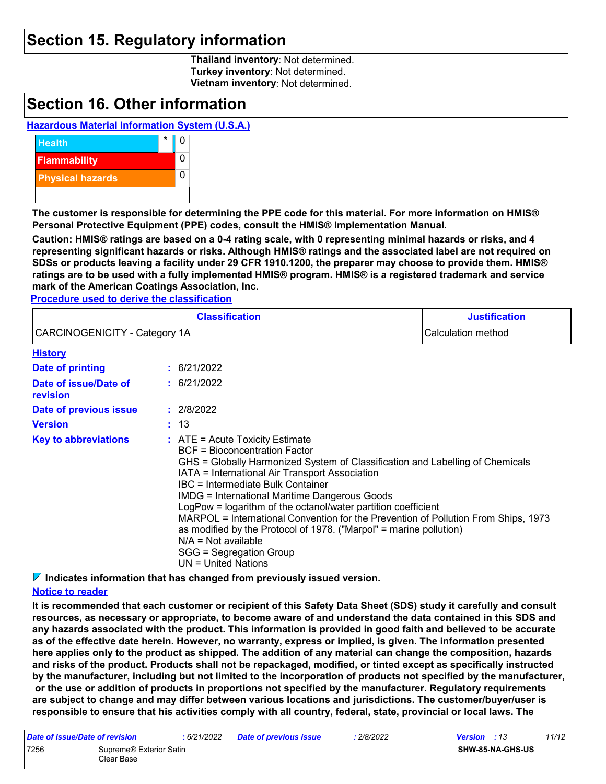### **Section 15. Regulatory information**

**Thailand inventory**: Not determined. **Turkey inventory**: Not determined. **Vietnam inventory**: Not determined.

### **Section 16. Other information**

#### **Hazardous Material Information System (U.S.A.)**



**The customer is responsible for determining the PPE code for this material. For more information on HMIS® Personal Protective Equipment (PPE) codes, consult the HMIS® Implementation Manual.**

**Caution: HMIS® ratings are based on a 0-4 rating scale, with 0 representing minimal hazards or risks, and 4 representing significant hazards or risks. Although HMIS® ratings and the associated label are not required on SDSs or products leaving a facility under 29 CFR 1910.1200, the preparer may choose to provide them. HMIS® ratings are to be used with a fully implemented HMIS® program. HMIS® is a registered trademark and service mark of the American Coatings Association, Inc.**

**Procedure used to derive the classification**

|                                   |  | <b>Classification</b>                                                                                                                                                                                                                                                                                                                                                                                                                                                                                                                                                                                      | <b>Justification</b> |
|-----------------------------------|--|------------------------------------------------------------------------------------------------------------------------------------------------------------------------------------------------------------------------------------------------------------------------------------------------------------------------------------------------------------------------------------------------------------------------------------------------------------------------------------------------------------------------------------------------------------------------------------------------------------|----------------------|
| CARCINOGENICITY - Category 1A     |  | Calculation method                                                                                                                                                                                                                                                                                                                                                                                                                                                                                                                                                                                         |                      |
| <b>History</b>                    |  |                                                                                                                                                                                                                                                                                                                                                                                                                                                                                                                                                                                                            |                      |
| Date of printing                  |  | : 6/21/2022                                                                                                                                                                                                                                                                                                                                                                                                                                                                                                                                                                                                |                      |
| Date of issue/Date of<br>revision |  | : 6/21/2022                                                                                                                                                                                                                                                                                                                                                                                                                                                                                                                                                                                                |                      |
| Date of previous issue            |  | : 2/8/2022                                                                                                                                                                                                                                                                                                                                                                                                                                                                                                                                                                                                 |                      |
| <b>Version</b>                    |  | : 13                                                                                                                                                                                                                                                                                                                                                                                                                                                                                                                                                                                                       |                      |
| <b>Key to abbreviations</b>       |  | $:$ ATE = Acute Toxicity Estimate<br>BCF = Bioconcentration Factor<br>GHS = Globally Harmonized System of Classification and Labelling of Chemicals<br>IATA = International Air Transport Association<br>IBC = Intermediate Bulk Container<br><b>IMDG = International Maritime Dangerous Goods</b><br>LogPow = logarithm of the octanol/water partition coefficient<br>MARPOL = International Convention for the Prevention of Pollution From Ships, 1973<br>as modified by the Protocol of 1978. ("Marpol" = marine pollution)<br>$N/A = Not available$<br>SGG = Segregation Group<br>UN = United Nations |                      |

**Indicates information that has changed from previously issued version.**

#### **Notice to reader**

**It is recommended that each customer or recipient of this Safety Data Sheet (SDS) study it carefully and consult resources, as necessary or appropriate, to become aware of and understand the data contained in this SDS and any hazards associated with the product. This information is provided in good faith and believed to be accurate as of the effective date herein. However, no warranty, express or implied, is given. The information presented here applies only to the product as shipped. The addition of any material can change the composition, hazards and risks of the product. Products shall not be repackaged, modified, or tinted except as specifically instructed by the manufacturer, including but not limited to the incorporation of products not specified by the manufacturer, or the use or addition of products in proportions not specified by the manufacturer. Regulatory requirements are subject to change and may differ between various locations and jurisdictions. The customer/buyer/user is responsible to ensure that his activities comply with all country, federal, state, provincial or local laws. The** 

| Date of issue/Date of revision |                                       | : 6/21/2022 | <b>Date of previous issue</b> | : 2/8/2022 | <b>Version</b> : 13 |                         | 11/12 |  |
|--------------------------------|---------------------------------------|-------------|-------------------------------|------------|---------------------|-------------------------|-------|--|
| 7256                           | Supreme® Exterior Satin<br>Clear Base |             |                               |            |                     | <b>SHW-85-NA-GHS-US</b> |       |  |